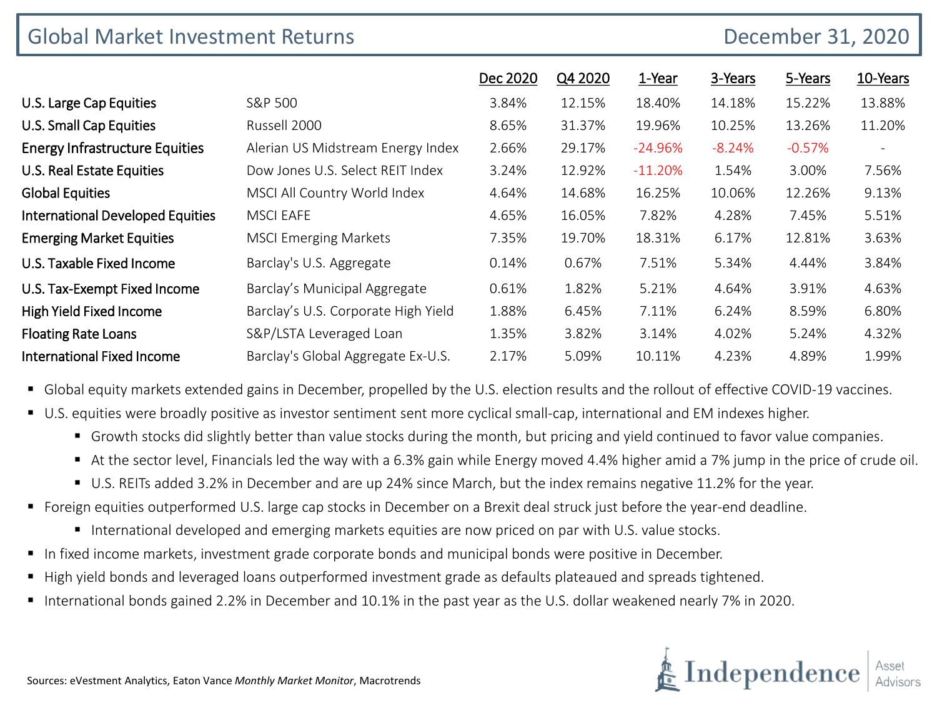|                                         | <b>Global Market Investment Returns</b> |          |         |           |          |          | December 31, 2020        |  |  |  |
|-----------------------------------------|-----------------------------------------|----------|---------|-----------|----------|----------|--------------------------|--|--|--|
|                                         |                                         | Dec 2020 | Q4 2020 | 1-Year    | 3-Years  | 5-Years  | 10-Years                 |  |  |  |
| U.S. Large Cap Equities                 | S&P 500                                 | 3.84%    | 12.15%  | 18.40%    | 14.18%   | 15.22%   | 13.88%                   |  |  |  |
| <b>U.S. Small Cap Equities</b>          | Russell 2000                            | 8.65%    | 31.37%  | 19.96%    | 10.25%   | 13.26%   | 11.20%                   |  |  |  |
| <b>Energy Infrastructure Equities</b>   | Alerian US Midstream Energy Index       | 2.66%    | 29.17%  | $-24.96%$ | $-8.24%$ | $-0.57%$ | $\overline{\phantom{a}}$ |  |  |  |
| U.S. Real Estate Equities               | Dow Jones U.S. Select REIT Index        | 3.24%    | 12.92%  | $-11.20%$ | 1.54%    | 3.00%    | 7.56%                    |  |  |  |
| <b>Global Equities</b>                  | MSCI All Country World Index            | 4.64%    | 14.68%  | 16.25%    | 10.06%   | 12.26%   | 9.13%                    |  |  |  |
| <b>International Developed Equities</b> | <b>MSCI EAFE</b>                        | 4.65%    | 16.05%  | 7.82%     | 4.28%    | 7.45%    | 5.51%                    |  |  |  |
| <b>Emerging Market Equities</b>         | <b>MSCI Emerging Markets</b>            | 7.35%    | 19.70%  | 18.31%    | 6.17%    | 12.81%   | 3.63%                    |  |  |  |
| U.S. Taxable Fixed Income               | Barclay's U.S. Aggregate                | 0.14%    | 0.67%   | 7.51%     | 5.34%    | 4.44%    | 3.84%                    |  |  |  |
| U.S. Tax-Exempt Fixed Income            | Barclay's Municipal Aggregate           | 0.61%    | 1.82%   | 5.21%     | 4.64%    | 3.91%    | 4.63%                    |  |  |  |
| High Yield Fixed Income                 | Barclay's U.S. Corporate High Yield     | 1.88%    | 6.45%   | 7.11%     | 6.24%    | 8.59%    | 6.80%                    |  |  |  |
| <b>Floating Rate Loans</b>              | S&P/LSTA Leveraged Loan                 | 1.35%    | 3.82%   | 3.14%     | 4.02%    | 5.24%    | 4.32%                    |  |  |  |
| <b>International Fixed Income</b>       | Barclay's Global Aggregate Ex-U.S.      | 2.17%    | 5.09%   | 10.11%    | 4.23%    | 4.89%    | 1.99%                    |  |  |  |

Global equity markets extended gains in December, propelled by the U.S. election results and the rollout of effective COVID-19 vaccines.

- U.S. equities were broadly positive as investor sentiment sent more cyclical small-cap, international and EM indexes higher.
	- Growth stocks did slightly better than value stocks during the month, but pricing and yield continued to favor value companies.
	- At the sector level, Financials led the way with a 6.3% gain while Energy moved 4.4% higher amid a 7% jump in the price of crude oil.
	- U.S. REITs added 3.2% in December and are up 24% since March, but the index remains negative 11.2% for the year.
- Foreign equities outperformed U.S. large cap stocks in December on a Brexit deal struck just before the year-end deadline.
	- International developed and emerging markets equities are now priced on par with U.S. value stocks.
- In fixed income markets, investment grade corporate bonds and municipal bonds were positive in December.
- High yield bonds and leveraged loans outperformed investment grade as defaults plateaued and spreads tightened.
- International bonds gained 2.2% in December and 10.1% in the past year as the U.S. dollar weakened nearly 7% in 2020.

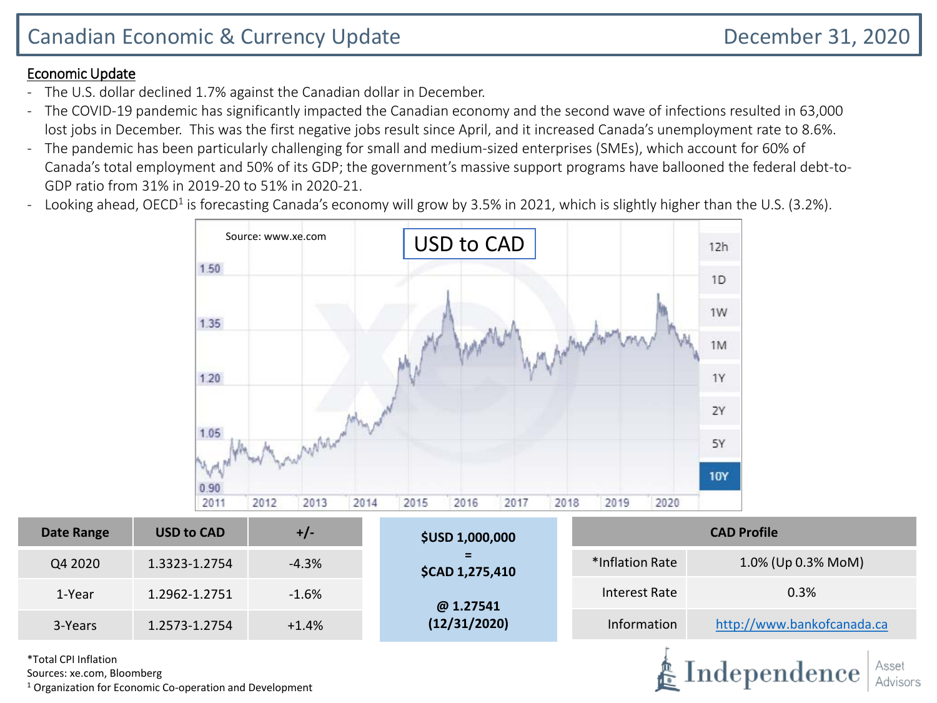Independence

#### Economic Update

- The U.S. dollar declined 1.7% against the Canadian dollar in December.
- The COVID-19 pandemic has significantly impacted the Canadian economy and the second wave of infections resulted in 63,000 lost jobs in December. This was the first negative jobs result since April, and it increased Canada's unemployment rate to 8.6%.
- The pandemic has been particularly challenging for small and medium-sized enterprises (SMEs), which account for 60% of Canada's total employment and 50% of its GDP; the government's massive support programs have ballooned the federal debt-to-GDP ratio from 31% in 2019-20 to 51% in 2020-21.
- Looking ahead, OECD<sup>1</sup> is forecasting Canada's economy will grow by 3.5% in 2021, which is slightly higher than the U.S. (3.2%).



| Date Range | <b>USD to CAD</b> | $+/-$   | <b>\$USD 1,000,000</b>      | <b>CAD Profile</b> |                            |  |  |
|------------|-------------------|---------|-----------------------------|--------------------|----------------------------|--|--|
| Q4 2020    | 1.3323-1.2754     | $-4.3%$ | =<br><b>\$CAD 1,275,410</b> | *Inflation Rate    | 1.0% (Up 0.3% MoM)         |  |  |
| 1-Year     | 1.2962-1.2751     | $-1.6%$ | @ 1.27541                   | Interest Rate      | 0.3%                       |  |  |
| 3-Years    | 1.2573-1.2754     | $+1.4%$ | (12/31/2020)                | Information        | http://www.bankofcanada.ca |  |  |

\*Total CPI Inflation

Sources: xe.com, Bloomberg

 $1$  Organization for Economic Co-operation and Development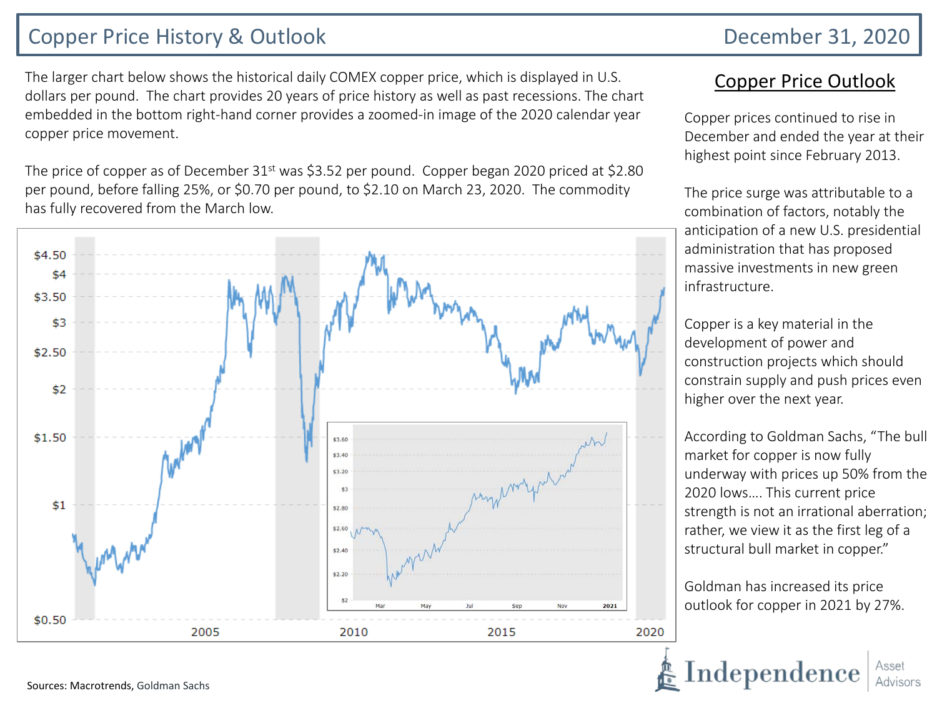## Copper Price History & Outlook December 31, 2020

The larger chart below shows the historical daily COMEX copper price, which is displayed in U.S. dollars per pound. The chart provides 20 years of price history as well as past recessions. The chart embedded in the bottom right-hand corner provides a zoomed-in image of the 2020 calendar year copper price movement.

The price of copper as of December  $31<sup>st</sup>$  was \$3.52 per pound. Copper began 2020 priced at \$2.80 per pound, before falling 25%, or \$0.70 per pound, to \$2.10 on March 23, 2020. The commodity has fully recovered from the March low.



### Copper Price Outlook

Copper prices continued to rise in December and ended the year at their highest point since February 2013.

The price surge was attributable to a combination of factors, notably the anticipation of a new U.S. presidential administration that has proposed massive investments in new green infrastructure.

Copper is a key material in the development of power and construction projects which should constrain supply and push prices even higher over the next year.

According to Goldman Sachs, "The bull market for copper is now fully underway with prices up 50% from the 2020 lows…. This current price strength is not an irrational aberration; rather, we view it as the first leg of a structural bull market in copper."

Goldman has increased its price outlook for copper in 2021 by 27%.

 $Independence$